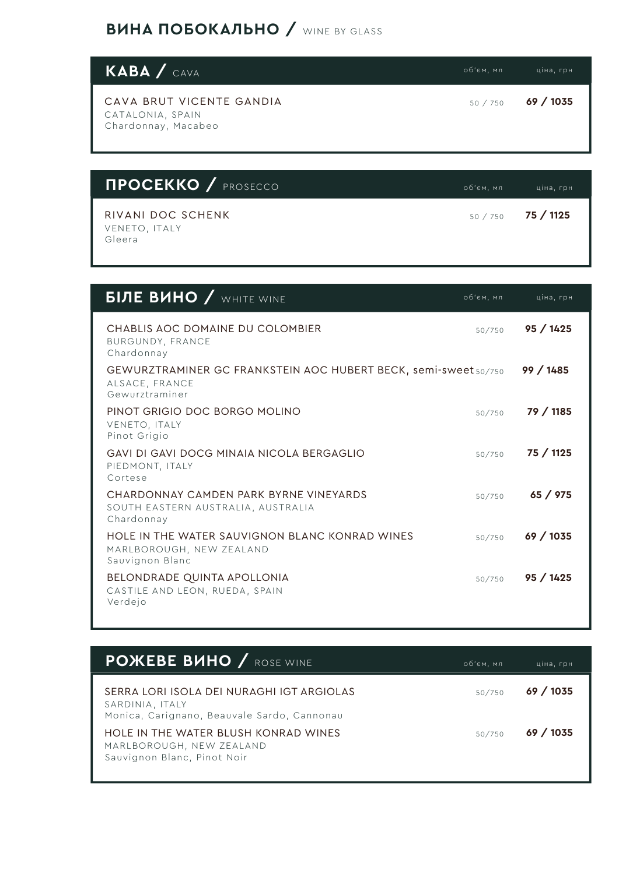## **ВИНА ПОБОКАЛЬНО / WINE BY GLASS**

| KABA / CAVA                                                         | об'єм, мл | ціна, грн |
|---------------------------------------------------------------------|-----------|-----------|
| CAVA BRUT VICENTE GANDIA<br>CATALONIA, SPAIN<br>Chardonnay, Macabeo | 50 / 750  | 69 / 1035 |

| <b>NPOCEKKO / PROSECCO</b>                   | об'єм, мл | ціна, грн          |
|----------------------------------------------|-----------|--------------------|
| RIVANI DOC SCHENK<br>VENETO, ITALY<br>Gleera |           | $50/750$ 75 / 1125 |

| <b>БІЛЕ ВИНО / WHITE WINE</b>                                                                       | об'єм, мл | ціна, грн |
|-----------------------------------------------------------------------------------------------------|-----------|-----------|
| CHABLIS AOC DOMAINE DU COLOMBIER<br>BURGUNDY, FRANCE<br>Chardonnay                                  | 50/750    | 95/1425   |
| GEWURZTRAMINER GC FRANKSTEIN AOC HUBERT BECK, semi-sweet 50/750<br>ALSACE, FRANCE<br>Gewurztraminer |           | 99/1485   |
| PINOT GRIGIO DOC BORGO MOLINO<br>VENETO, ITALY<br>Pinot Grigio                                      | 50/750    | 79 / 1185 |
| GAVI DI GAVI DOCG MINAIA NICOI A BERGAGI IO<br>PIEDMONT, ITALY<br>Cortese                           | 50/750    | 75 / 1125 |
| CHARDONNAY CAMDEN PARK BYRNE VINEYARDS<br>SOUTH EASTERN AUSTRALIA, AUSTRALIA<br>Chardonnay          | 50/750    | 65 / 975  |
| HOLE IN THE WATER SAUVIGNON BLANC KONRAD WINES<br>MARLBOROUGH, NEW ZEALAND<br>Sauvignon Blanc       | 50/750    | 69 / 1035 |
| BELONDRADE QUINTA APOLLONIA<br>CASTILE AND LEON, RUEDA, SPAIN<br>Verdejo                            | 50/750    | 95/1425   |

| <b>POXEBE BUHO / ROSE WINE</b>                                                                              | об'єм, мл | ціна, грн |
|-------------------------------------------------------------------------------------------------------------|-----------|-----------|
| SERRA LORI ISOLA DEI NURAGHI IGT ARGIOLAS<br>SARDINIA, ITALY<br>Monica, Carignano, Beauvale Sardo, Cannonau | 50/750    | 69/1035   |
| HOLE IN THE WATER BLUSH KONRAD WINES<br>MARLBOROUGH, NEW ZEALAND<br>Sauvignon Blanc, Pinot Noir             | 50/750    | 69/1035   |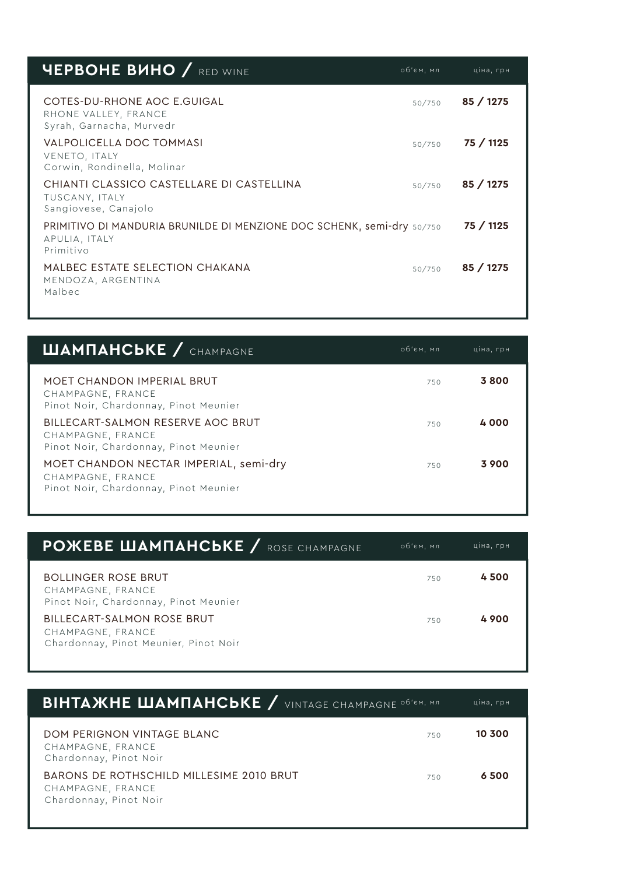| <b>YEPBOHE BUHO</b> / RED WINE                                                                       | об'єм, мл | ціна, грн |
|------------------------------------------------------------------------------------------------------|-----------|-----------|
| COTES-DU-RHONE AOC E.GUIGAL<br>RHONE VALLEY, FRANCE<br>Syrah, Garnacha, Murvedr                      | 50/750    | 85/1275   |
| VALPOLICELLA DOC TOMMASI<br>VENETO, ITALY<br>Corwin, Rondinella, Molinar                             | 50/750    | 75 / 1125 |
| CHIANTI CLASSICO CASTELLARE DI CASTELLINA<br>TUSCANY, ITALY<br>Sangiovese, Canajolo                  | 50/750    | 85/1275   |
| PRIMITIVO DI MANDURIA BRUNILDE DI MENZIONE DOC SCHENK, semi-dry 50/750<br>APULIA, ITALY<br>Primitivo |           | 75 / 1125 |
| MALBEC ESTATE SELECTION CHAKANA<br>MENDOZA, ARGENTINA<br>Malbec                                      | 50/750    | 85/1275   |

| <b>ШАМПАНСЬКЕ</b> / CHAMPAGNE                                                                        | об'єм, мл | ціна, грн |
|------------------------------------------------------------------------------------------------------|-----------|-----------|
| MOET CHANDON IMPERIAL BRUT<br>CHAMPAGNE, FRANCE<br>Pinot Noir, Chardonnay, Pinot Meunier             | 750       | 3800      |
| BILLECART-SALMON RESERVE AOC BRUT<br>CHAMPAGNE, FRANCE<br>Pinot Noir, Chardonnay, Pinot Meunier      | 750       | 4000      |
| MOET CHANDON NECTAR IMPERIAL, semi-dry<br>CHAMPAGNE, FRANCE<br>Pinot Noir, Chardonnay, Pinot Meunier | 750       | 3 900     |

| <b>POXEBE ШАМПАНСЬКЕ</b> / ROSE CHAMPAGNE                                                | об'єм, мл | ціна, грн |
|------------------------------------------------------------------------------------------|-----------|-----------|
| <b>BOLLINGER ROSE BRUT</b><br>CHAMPAGNE, FRANCE<br>Pinot Noir, Chardonnay, Pinot Meunier | 750       | 4500      |
| BILLECART-SALMON ROSE BRUT<br>CHAMPAGNE, FRANCE<br>Chardonnay, Pinot Meunier, Pinot Noir | 750       | 4900      |

| <b>BIHTA WHE WAMNAHCBKE</b> / VINTAGE CHAMPAGNE OF CHI, MA                              |     | ціна, грн |
|-----------------------------------------------------------------------------------------|-----|-----------|
| DOM PERIGNON VINTAGE BLANC<br>CHAMPAGNE, FRANCE<br>Chardonnay, Pinot Noir               | 750 | 10 300    |
| BARONS DE ROTHSCHILD MILLESIME 2010 BRUT<br>CHAMPAGNE, FRANCE<br>Chardonnay, Pinot Noir | 750 | 6500      |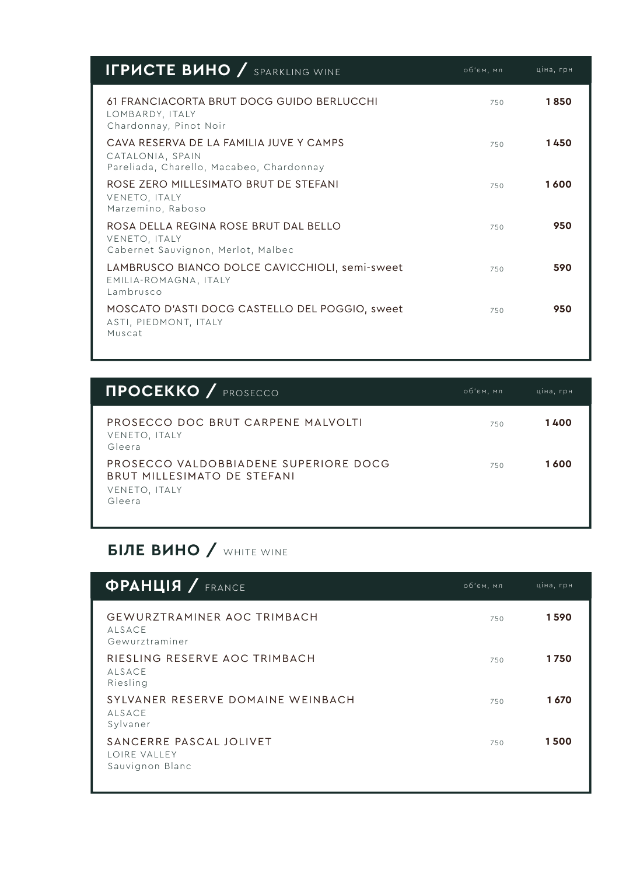| <b>IFPUCTE BUHO / SPARKLING WINE</b>                                                                    | об'єм, мл | ціна, грн |
|---------------------------------------------------------------------------------------------------------|-----------|-----------|
| 61 FRANCIACORTA BRUT DOCG GUIDO BERLUCCHI<br>LOMBARDY, ITALY<br>Chardonnay, Pinot Noir                  | 750       | 1850      |
| CAVA RESERVA DE LA FAMILIA JUVE Y CAMPS<br>CATALONIA, SPAIN<br>Pareliada, Charello, Macabeo, Chardonnay | 750       | 1450      |
| ROSE ZERO MILLESIMATO BRUT DE STEFANI<br>VENETO, ITALY<br>Marzemino, Raboso                             | 750       | 1600      |
| ROSA DELLA REGINA ROSE BRUT DAL BELLO<br>VENETO, ITALY<br>Cabernet Sauvignon, Merlot, Malbec            | 750       | 950       |
| LAMBRUSCO BIANCO DOLCE CAVICCHIOLI, semi-sweet<br>EMILIA-ROMAGNA, ITALY<br>Lambrusco                    | 750       | 590       |
| MOSCATO D'ASTI DOCG CASTELLO DEL POGGIO, sweet<br>ASTI, PIEDMONT, ITALY<br>Muscat                       | 750       | 950       |

| <b>NPOCEKKO</b> / PROSECCO                                                                      | об'єм, мл | ціна, грн |
|-------------------------------------------------------------------------------------------------|-----------|-----------|
| PROSECCO DOC BRUT CARPENE MALVOLTI<br>VENETO, ITALY<br>Gleera                                   | 750       | 1400      |
| PROSECCO VALDOBBIADENE SUPERIORE DOCG<br>BRUT MILLESIMATO DE STEFANI<br>VENETO, ITALY<br>Gleera | 750       | 1 600     |

## **БІЛЕ ВИНО / WHITE WINE**

| <b><i><u>OPAHLIA / FRANCE</u></i></b>                                 | об'єм, мл | ціна, грн |
|-----------------------------------------------------------------------|-----------|-----------|
| <b>GEWURZTRAMINER AOC TRIMBACH</b><br><b>ALSACE</b><br>Gewurztraminer | 750       | 1590      |
| RIESLING RESERVE AOC TRIMBACH<br><b>ALSACE</b><br>Riesling            | 750       | 1750      |
| SYLVANER RESERVE DOMAINE WEINBACH<br><b>ALSACE</b><br>Sylvaner        | 750       | 1670      |
| SANCERRE PASCAL JOLIVET<br>LOIRE VALLEY<br>Sauvignon Blanc            | 750       | 1500      |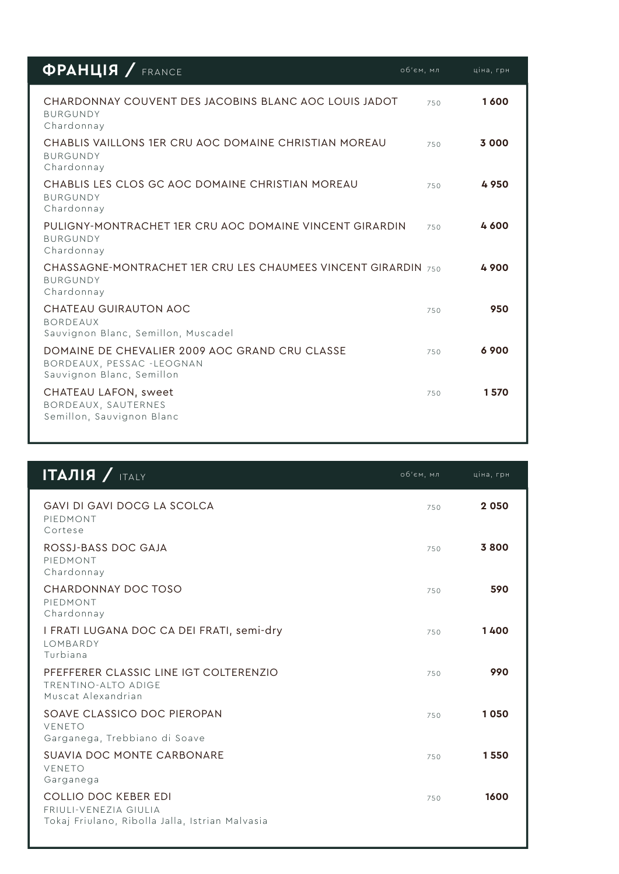| $\Phi$ PAHLIA / FRANCE                                                                                   | об'єм, мл | ціна, грн |
|----------------------------------------------------------------------------------------------------------|-----------|-----------|
| CHARDONNAY COUVENT DES JACOBINS BLANC AOC LOUIS JADOT<br><b>BURGUNDY</b><br>Chardonnay                   | 750       | 1600      |
| CHABLIS VAILLONS 1FR CRU AOC DOMAINE CHRISTIAN MOREAU<br><b>BURGUNDY</b><br>Chardonnay                   | 750       | 3 000     |
| CHABLIS LES CLOS GC AOC DOMAINE CHRISTIAN MOREAU<br><b>BURGUNDY</b><br>Chardonnay                        | 750       | 4950      |
| PULIGNY-MONTRACHET 1ER CRU AOC DOMAINE VINCENT GIRARDIN<br><b>BURGUNDY</b><br>Chardonnay                 | 750       | 4600      |
| CHASSAGNE-MONTRACHET 1FR CRU LES CHAUMEES VINCENT GIRARDIN 750<br><b>BURGUNDY</b><br>Chardonnay          |           | 4900      |
| CHATEAU GUIRAUTON AOC<br><b>BORDEAUX</b><br>Sauvignon Blanc, Semillon, Muscadel                          | 750       | 950       |
| DOMAINE DE CHEVALIER 2009 AOC GRAND CRU CLASSE<br>BORDEAUX, PESSAC -LEOGNAN<br>Sauvignon Blanc, Semillon | 750       | 6900      |
| CHATEAU LAFON, sweet<br>BORDEAUX, SAUTERNES<br>Semillon, Sauvignon Blanc                                 | 750       | 1570      |
|                                                                                                          |           |           |

| $ITAJIIA$ / ITALY                                                                                | об'єм, мл | ціна, грн |
|--------------------------------------------------------------------------------------------------|-----------|-----------|
| <b>GAVI DI GAVI DOCG LA SCOLCA</b><br>PIEDMONT<br>Cortese                                        | 750       | 2050      |
| ROSSJ-BASS DOC GAJA<br>PIEDMONT<br>Chardonnay                                                    | 750       | 3800      |
| CHARDONNAY DOC TOSO<br>PIEDMONT<br>Chardonnay                                                    | 750       | 590       |
| I FRATI LUGANA DOC CA DEI FRATI, semi-dry<br>LOMBARDY<br>Turbiana                                | 750       | 1400      |
| PFEFFERER CLASSIC LINE IGT COLTERENZIO<br>TRENTINO-ALTO ADIGE<br>Muscat Alexandrian              | 750       | 990       |
| SOAVE CLASSICO DOC PIEROPAN<br>VENETO<br>Garganega, Trebbiano di Soave                           | 750       | 1050      |
| SUAVIA DOC MONTE CARBONARE<br>VENETO<br>Garganega                                                | 750       | 1550      |
| COLLIO DOC KEBER EDI<br>FRIULI-VENEZIA GIULIA<br>Tokaj Friulano, Ribolla Jalla, Istrian Malvasia | 750       | 1600      |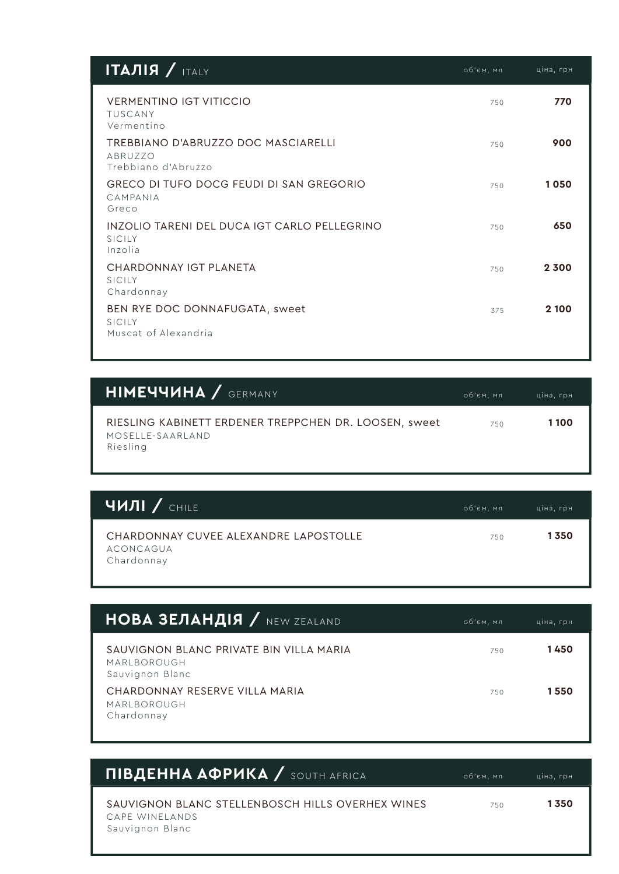| $ITAJIIA$ / ITALY                                                     | об'єм, мл | ціна, грн |
|-----------------------------------------------------------------------|-----------|-----------|
| <b>VERMENTINO IGT VITICCIO</b><br>TUSCANY<br>Vermentino               | 750       | 770       |
| TREBBIANO D'ABRUZZO DOC MASCIARELLI<br>ABRUZZO<br>Trebbiano d'Abruzzo | 750       | 900       |
| GRECO DI TUFO DOCG FEUDI DI SAN GREGORIO<br>CAMPANIA<br>Greco         | 750       | 1050      |
| INZOLIO TARENI DEL DUCA IGT CARLO PELLEGRINO<br>SICILY<br>Inzolia     | 750       | 650       |
| CHARDONNAY IGT PLANETA<br>SICILY<br>Chardonnay                        | 750       | 2300      |
| BEN RYE DOC DONNAFUGATA, sweet<br>SICILY<br>Muscat of Alexandria      | 375       | 2 100     |

| <b>HIMEYYVHA</b> / GERMANY                                                            | об'єм, мл | ціна, грн |
|---------------------------------------------------------------------------------------|-----------|-----------|
| RIESLING KABINETT ERDENER TREPPCHEN DR. LOOSEN, sweet<br>MOSELLE-SAARLAND<br>Riesling | 750       | 1100      |

| <b>ЧИЛІ / CHILE</b>                                              | об'єм, мл | ціна, грн |
|------------------------------------------------------------------|-----------|-----------|
| CHARDONNAY CUVEE ALEXANDRE LAPOSTOLLE<br>ACONCAGUA<br>Chardonnay | 750       | 1350      |

| <b>HOBA 3EЛАНДІЯ</b> / NEW ZEALAND                                        | об'єм, мл | ціна, грн |
|---------------------------------------------------------------------------|-----------|-----------|
| SAUVIGNON BLANC PRIVATE BIN VILLA MARIA<br>MARLBOROUGH<br>Sauvignon Blanc | 750       | 1450      |
| CHARDONNAY RESERVE VII LA MARIA<br>MARLBOROUGH<br>Chardonnay              | 750       | 1550      |

| ПІВДЕННА АФРИКА / SOUTH AFRICA                                                        | об'єм, мл | ціна, грн |
|---------------------------------------------------------------------------------------|-----------|-----------|
| SAUVIGNON BLANC STELLENBOSCH HILLS OVERHEX WINES<br>CAPE WINELANDS<br>Sauvignon Blanc | 750       | 1350      |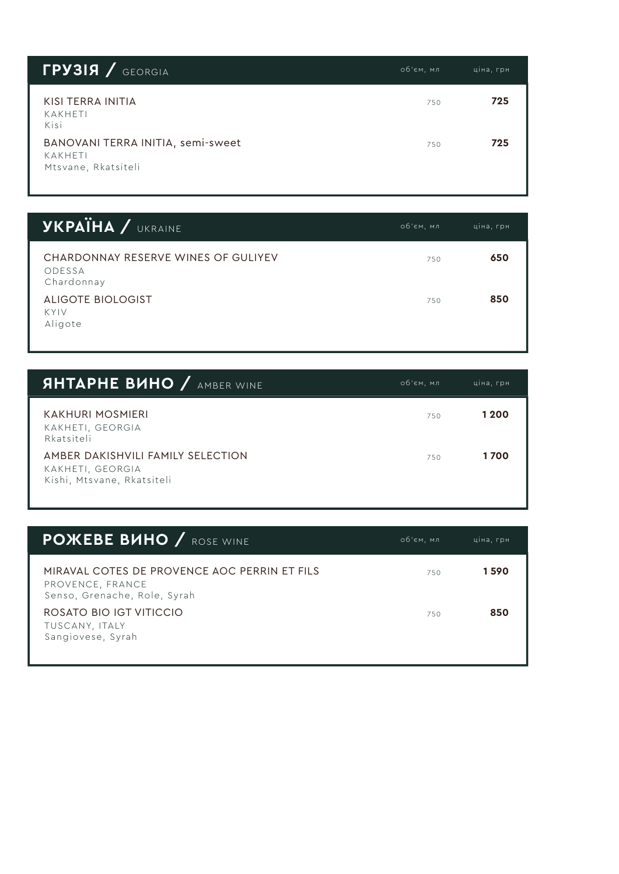| <b>FPY3IA / GEORGIA</b>                                             | об'єм, мл | ціна, грн |
|---------------------------------------------------------------------|-----------|-----------|
| KISI TERRA INITIA<br>KAKHETI<br>Kisi                                | 750       | 725       |
| BANOVANI TERRA INITIA, semi-sweet<br>KAKHETI<br>Mtsvane, Rkatsiteli | 750       | 725       |

| <b><i>YKPAIHA / UKRAINE</i></b>                             | об'єм, мл | ціна, грн |
|-------------------------------------------------------------|-----------|-----------|
| CHARDONNAY RESERVE WINES OF GULIYEV<br>ODESSA<br>Chardonnay | 750       | 650       |
| ALIGOTE BIOLOGIST<br>KYIV<br>Aligote                        | 750       | 850       |

| <b>SHTAPHE BUHO / AMBER WINE</b>                                                    | об'єм, мл | ціна, грн |
|-------------------------------------------------------------------------------------|-----------|-----------|
| KAKHURI MOSMIERI<br>KAKHETI, GEORGIA<br>Rkatsiteli                                  | 750       | 1 2 0 0   |
| AMBER DAKISHVILI FAMILY SELECTION<br>KAKHETI, GEORGIA<br>Kishi, Mtsvane, Rkatsiteli | 750       | 1700      |

| <b>POXEBE BUHO / ROSE WINE</b>                                                                   | об'єм, мл | ціна, грн |
|--------------------------------------------------------------------------------------------------|-----------|-----------|
| MIRAVAL COTES DE PROVENCE AOC PERRIN ET FILS<br>PROVENCE, FRANCE<br>Senso, Grenache, Role, Syrah | 750       | 1590      |
| ROSATO BIO IGT VITICCIO<br>TUSCANY, ITALY<br>Sangiovese, Syrah                                   | 750       | 850       |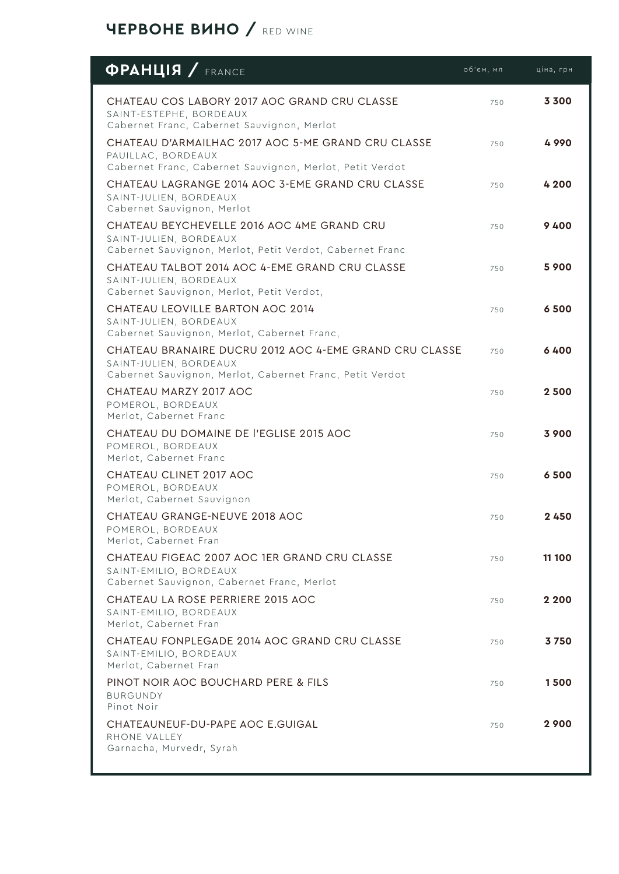## **ЧЕРВОНЕ ВИНО /** RED WINE

| <b>OPAHLIS</b> / FRANCE                                                                                                                      | об'єм, мл | ціна, грн |
|----------------------------------------------------------------------------------------------------------------------------------------------|-----------|-----------|
| CHATEAU COS LABORY 2017 AOC GRAND CRU CLASSE<br>SAINT-ESTEPHE, BORDEAUX<br>Cabernet Franc, Cabernet Sauvignon, Merlot                        | 750       | 3 3 0 0   |
| CHATEAU D'ARMAILHAC 2017 AOC 5-ME GRAND CRU CLASSE<br>PAUILLAC, BORDEAUX<br>Cabernet Franc, Cabernet Sauvignon, Merlot, Petit Verdot         | 750       | 4990      |
| CHATEAU LAGRANGE 2014 AOC 3-EME GRAND CRU CLASSE<br>SAINT-JULIEN, BORDEAUX<br>Cabernet Sauvignon, Merlot                                     | 750       | 4 200     |
| CHATEAU BEYCHEVELLE 2016 AOC 4ME GRAND CRU<br>SAINT-JULIEN, BORDEAUX<br>Cabernet Sauvignon, Merlot, Petit Verdot, Cabernet Franc             | 750       | 9400      |
| CHATEAU TALBOT 2014 AOC 4-EME GRAND CRU CLASSE<br>SAINT-JULIEN, BORDEAUX<br>Cabernet Sauvignon, Merlot, Petit Verdot,                        | 750       | 5 900     |
| CHATEAU LEOVILLE BARTON AOC 2014<br>SAINT-JULIEN, BORDEAUX<br>Cabernet Sauvignon, Merlot, Cabernet Franc,                                    | 750       | 6500      |
| CHATEAU BRANAIRE DUCRU 2012 AOC 4-EME GRAND CRU CLASSE<br>SAINT-JULIEN, BORDEAUX<br>Cabernet Sauvignon, Merlot, Cabernet Franc, Petit Verdot | 750       | 6400      |
| CHATEAU MARZY 2017 AOC<br>POMEROL, BORDEAUX<br>Merlot, Cabernet Franc                                                                        | 750       | 2500      |
| CHATEAU DU DOMAINE DE l'EGLISE 2015 AOC<br>POMEROL, BORDEAUX<br>Merlot, Cabernet Franc                                                       | 750       | 3900      |
| CHATEAU CLINET 2017 AOC<br>POMEROL, BORDEAUX<br>Merlot, Cabernet Sauvignon                                                                   | 750       | 6500      |
| CHATEAU GRANGE-NEUVE 2018 AOC<br>POMEROL, BORDEAUX<br>Merlot, Cabernet Fran                                                                  | 750       | 2450      |
| CHATEAU FIGEAC 2007 AOC 1ER GRAND CRU CLASSE<br>SAINT-EMILIO, BORDEAUX<br>Cabernet Sauvignon, Cabernet Franc, Merlot                         | 750       | 11 100    |
| CHATEAU LA ROSE PERRIERE 2015 AOC<br>SAINT-EMILIO, BORDEAUX<br>Merlot, Cabernet Fran                                                         | 750       | 2 2 0 0   |
| CHATEAU FONPLEGADE 2014 AOC GRAND CRU CLASSE<br>SAINT-EMILIO, BORDEAUX<br>Merlot, Cabernet Fran                                              | 750       | 3750      |
| PINOT NOIR AOC BOUCHARD PERE & FILS<br><b>BURGUNDY</b><br>Pinot Noir                                                                         | 750       | 1500      |
| CHATEAUNEUF-DU-PAPE AOC E.GUIGAL<br>RHONE VALLEY<br>Garnacha, Murvedr, Syrah                                                                 | 750       | 2900      |
|                                                                                                                                              |           |           |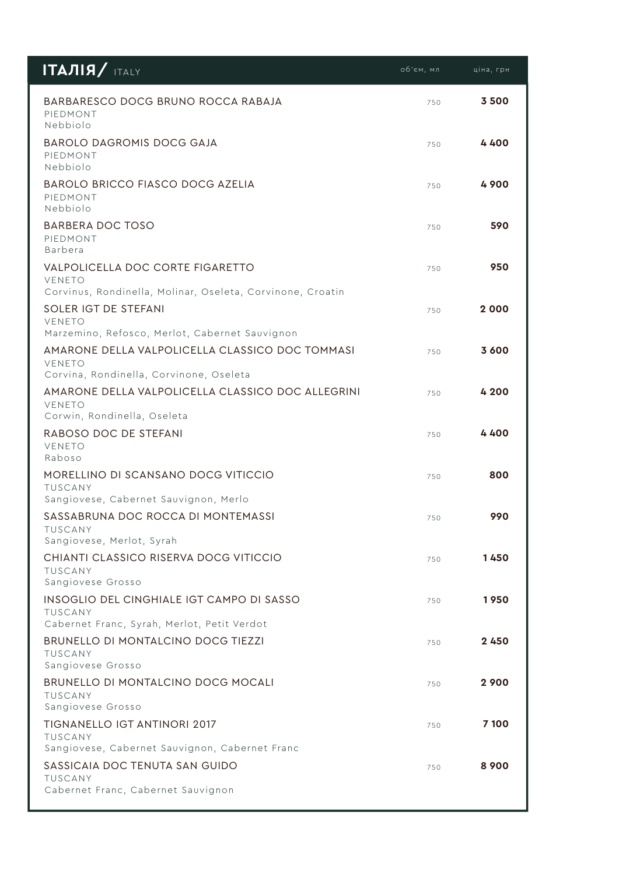| $ITAJIJA/$ ITALY                                                                                                | об'єм, мл | ціна, грн |
|-----------------------------------------------------------------------------------------------------------------|-----------|-----------|
| BARBARESCO DOCG BRUNO ROCCA RABAJA<br>PIEDMONT<br>Nebbiolo                                                      | 750       | 3500      |
| BAROLO DAGROMIS DOCG GAJA<br>PIEDMONT<br>Nebbiolo                                                               | 750       | 4400      |
| <b>BAROLO BRICCO FIASCO DOCG AZELIA</b><br>PIEDMONT<br>Nebbiolo                                                 | 750       | 4900      |
| BARBERA DOC TOSO<br>PIEDMONT<br>Barbera                                                                         | 750       | 590       |
| VALPOLICELLA DOC CORTE FIGARETTO<br><b>VENETO</b><br>Corvinus, Rondinella, Molinar, Oseleta, Corvinone, Croatin | 750       | 950       |
| SOLER IGT DE STEFANI<br>VENETO<br>Marzemino, Refosco, Merlot, Cabernet Sauvignon                                | 750       | 2 000     |
| AMARONE DELLA VALPOLICELLA CLASSICO DOC TOMMASI<br>VENETO<br>Corvina, Rondinella, Corvinone, Oseleta            | 750       | 3 600     |
| AMARONE DELLA VALPOLICELLA CLASSICO DOC ALLEGRINI<br><b>VENETO</b><br>Corwin, Rondinella, Oseleta               | 750       | 4 200     |
| RABOSO DOC DE STEFANI<br>VENETO<br>Raboso                                                                       | 750       | 4400      |
| MORELLINO DI SCANSANO DOCG VITICCIO<br>TUSCANY<br>Sangiovese, Cabernet Sauvignon, Merlo                         | 750       | 800       |
| SASSABRUNA DOC ROCCA DI MONTEMASSI<br><b>TUSCANY</b><br>Sangiovese, Merlot, Syrah                               | 750       | 990       |
| CHIANTI CLASSICO RISERVA DOCG VITICCIO<br>TUSCANY<br>Sangiovese Grosso                                          | 750       | 1450      |
| INSOGLIO DEL CINGHIALE IGT CAMPO DI SASSO<br><b>TUSCANY</b><br>Cabernet Franc, Syrah, Merlot, Petit Verdot      | 750       | 1950      |
| BRUNELLO DI MONTALCINO DOCG TIEZZI<br><b>TUSCANY</b><br>Sangiovese Grosso                                       | 750       | 2450      |
| BRUNELLO DI MONTALCINO DOCG MOCALI<br>TUSCANY<br>Sangiovese Grosso                                              | 750       | 2900      |
| <b>TIGNANELLO IGT ANTINORI 2017</b><br><b>TUSCANY</b><br>Sangiovese, Cabernet Sauvignon, Cabernet Franc         | 750       | 7 100     |
| SASSICAIA DOC TENUTA SAN GUIDO<br>TUSCANY<br>Cabernet Franc, Cabernet Sauvignon                                 | 750       | 8 9 0 0   |
|                                                                                                                 |           |           |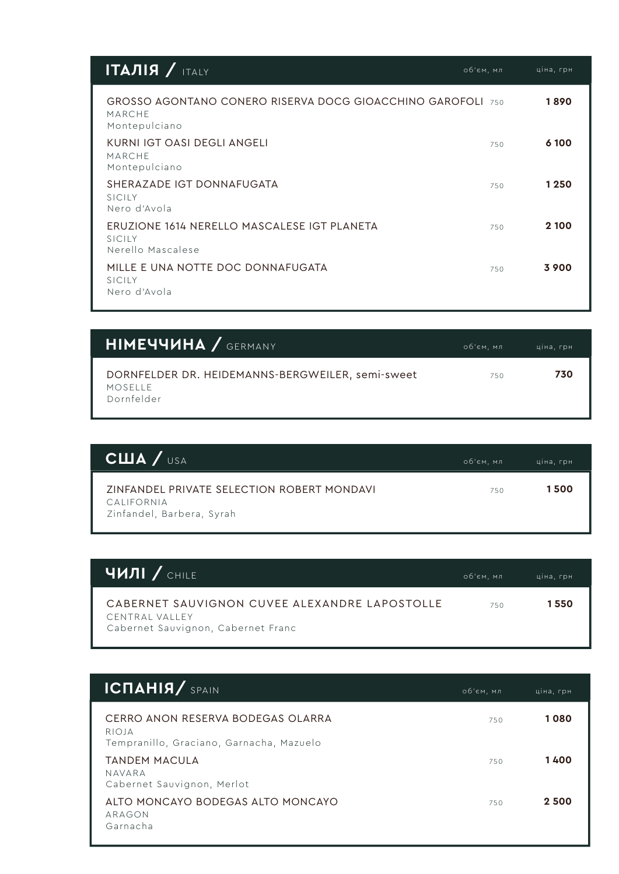| ITAJIJJJJ                                                                                     | об'єм, мл | ціна, грн |
|-----------------------------------------------------------------------------------------------|-----------|-----------|
| GROSSO AGONTANO CONERO RISERVA DOCG GIOACCHINO GAROFOLI 750<br><b>MARCHE</b><br>Montepulciano |           | 1890      |
| KURNI IGT OASI DEGLI ANGELI<br><b>MARCHE</b><br>Montepulciano                                 | 750       | 6 100     |
| SHERAZADE IGT DONNAFUGATA<br>SICILY<br>Nero d'Avola                                           | 750       | 1250      |
| ERUZIONE 1614 NERELLO MASCALESE IGT PLANETA<br>SICILY<br>Nerello Mascalese                    | 750       | 2 100     |
| MILLE E UNA NOTTE DOC DONNAFUGATA<br>SICILY<br>Nero d'Avola                                   | 750       | 3900      |

| <b>HIMEYYVHA</b> / GERMANY                                                | об'єм, мл | ціна, грн |
|---------------------------------------------------------------------------|-----------|-----------|
| DORNFELDER DR. HEIDEMANNS-BERGWEILER, semi-sweet<br>MOSELLE<br>Dornfelder | 750       | 730       |

| CHIA / <sub>USA</sub>                                                                        | об'єм, мл | ціна, грн |
|----------------------------------------------------------------------------------------------|-----------|-----------|
| <b>ZINFANDEL PRIVATE SELECTION ROBERT MONDAVI</b><br>CALIFORNIA<br>Zinfandel, Barbera, Syrah | 750       | 1500      |

| <b>ЧИЛІ / CHILE</b>                                                                                   | об'єм, мл | ціна, грн |
|-------------------------------------------------------------------------------------------------------|-----------|-----------|
| CABERNET SAUVIGNON CUVEE ALEXANDRE LAPOSTOLLE<br>CENTRAI VALLEY<br>Cabernet Sauvignon, Cabernet Franc | 750       | 1 550     |

| <b>ICNAHIA/ SPAIN</b>                                                                   | об'єм, мл | ціна, грн |
|-----------------------------------------------------------------------------------------|-----------|-----------|
| CERRO ANON RESERVA BODEGAS OI ARRA<br>RIOJA<br>Tempranillo, Graciano, Garnacha, Mazuelo | 750       | 1080      |
| <b>TANDEM MACULA</b><br>NAVARA<br>Cabernet Sauvignon, Merlot                            | 750       | 1400      |
| ALTO MONCAYO BODEGAS ALTO MONCAYO<br>ARAGON<br>Garnacha                                 | 750       | 2 500     |